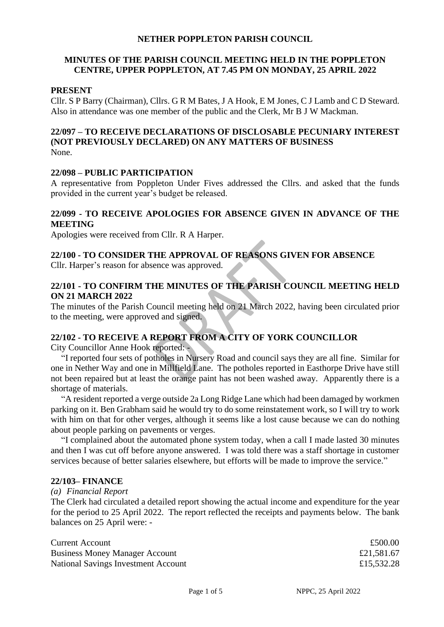#### **NETHER POPPLETON PARISH COUNCIL**

### **MINUTES OF THE PARISH COUNCIL MEETING HELD IN THE POPPLETON CENTRE, UPPER POPPLETON, AT 7.45 PM ON MONDAY, 25 APRIL 2022**

#### **PRESENT**

Cllr. S P Barry (Chairman), Cllrs. G R M Bates, J A Hook, E M Jones, C J Lamb and C D Steward. Also in attendance was one member of the public and the Clerk, Mr B J W Mackman.

# **22/097 – TO RECEIVE DECLARATIONS OF DISCLOSABLE PECUNIARY INTEREST (NOT PREVIOUSLY DECLARED) ON ANY MATTERS OF BUSINESS**

None.

#### **22/098 – PUBLIC PARTICIPATION**

A representative from Poppleton Under Fives addressed the Cllrs. and asked that the funds provided in the current year's budget be released.

#### **22/099 - TO RECEIVE APOLOGIES FOR ABSENCE GIVEN IN ADVANCE OF THE MEETING**

Apologies were received from Cllr. R A Harper.

# **22/100 - TO CONSIDER THE APPROVAL OF REASONS GIVEN FOR ABSENCE**

Cllr. Harper's reason for absence was approved.

### **22/101 - TO CONFIRM THE MINUTES OF THE PARISH COUNCIL MEETING HELD ON 21 MARCH 2022**

The minutes of the Parish Council meeting held on 21 March 2022, having been circulated prior to the meeting, were approved and signed.

# **22/102 - TO RECEIVE A REPORT FROM A CITY OF YORK COUNCILLOR**

City Councillor Anne Hook reported: -

"I reported four sets of potholes in Nursery Road and council says they are all fine. Similar for one in Nether Way and one in Millfield Lane. The potholes reported in Easthorpe Drive have still not been repaired but at least the orange paint has not been washed away. Apparently there is a shortage of materials.

"A resident reported a verge outside 2a Long Ridge Lane which had been damaged by workmen parking on it. Ben Grabham said he would try to do some reinstatement work, so I will try to work with him on that for other verges, although it seems like a lost cause because we can do nothing about people parking on pavements or verges.

"I complained about the automated phone system today, when a call I made lasted 30 minutes and then I was cut off before anyone answered. I was told there was a staff shortage in customer services because of better salaries elsewhere, but efforts will be made to improve the service."

#### **22/103– FINANCE**

#### *(a) Financial Report*

The Clerk had circulated a detailed report showing the actual income and expenditure for the year for the period to 25 April 2022. The report reflected the receipts and payments below. The bank balances on 25 April were: -

| <b>Current Account</b>                | £500.00    |
|---------------------------------------|------------|
| <b>Business Money Manager Account</b> | £21,581.67 |
| National Savings Investment Account   | £15,532.28 |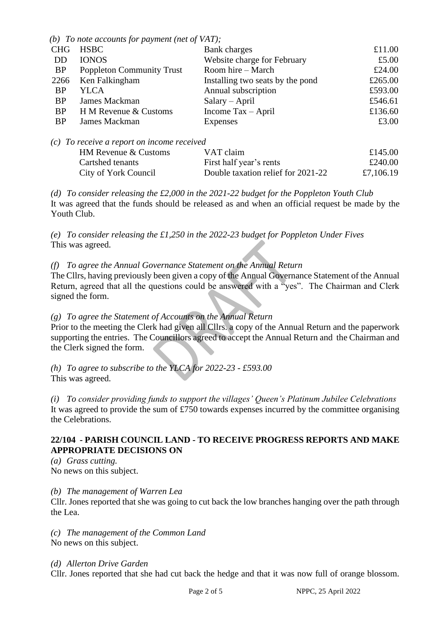*(b) To note accounts for payment (net of VAT);*

|                                              | $\sigma$ to none accounts for payment (net of visit), |                                    |         |  |  |
|----------------------------------------------|-------------------------------------------------------|------------------------------------|---------|--|--|
| <b>CHG</b>                                   | <b>HSBC</b>                                           | Bank charges                       | £11.00  |  |  |
| DD                                           | <b>IONOS</b>                                          | Website charge for February        | £5.00   |  |  |
| <b>BP</b>                                    | <b>Poppleton Community Trust</b>                      | Room hire – March                  | £24.00  |  |  |
| 2266                                         | Ken Falkingham                                        | Installing two seats by the pond   | £265.00 |  |  |
| <b>BP</b>                                    | YLCA                                                  | Annual subscription                | £593.00 |  |  |
| <b>BP</b>                                    | James Mackman                                         | $Salary - April$                   | £546.61 |  |  |
| <b>BP</b>                                    | H M Revenue & Customs                                 | Income $\text{Tax} - \text{April}$ | £136.60 |  |  |
| <b>BP</b>                                    | James Mackman                                         | <b>Expenses</b>                    | £3.00   |  |  |
|                                              |                                                       |                                    |         |  |  |
| $(c)$ To receive a report on income received |                                                       |                                    |         |  |  |

| c) To receive a report on income received |                                    |           |
|-------------------------------------------|------------------------------------|-----------|
| <b>HM Revenue &amp; Customs</b>           | VAT claim                          | £145.00   |
| Cartshed tenants                          | First half year's rents            | £240.00   |
| City of York Council                      | Double taxation relief for 2021-22 | £7,106.19 |
|                                           |                                    |           |

*(d) To consider releasing the £2,000 in the 2021-22 budget for the Poppleton Youth Club* It was agreed that the funds should be released as and when an official request be made by the Youth Club.

*(e) To consider releasing the £1,250 in the 2022-23 budget for Poppleton Under Fives*  This was agreed.

# *(f) To agree the Annual Governance Statement on the Annual Return*

The Cllrs, having previously been given a copy of the Annual Governance Statement of the Annual Return, agreed that all the questions could be answered with a "yes". The Chairman and Clerk signed the form.

# *(g) To agree the Statement of Accounts on the Annual Return*

Prior to the meeting the Clerk had given all Cllrs. a copy of the Annual Return and the paperwork supporting the entries. The Councillors agreed to accept the Annual Return and the Chairman and the Clerk signed the form.

*(h) To agree to subscribe to the YLCA for 2022-23 - £593.00*  This was agreed.

*(i) To consider providing funds to support the villages' Queen's Platinum Jubilee Celebrations* It was agreed to provide the sum of £750 towards expenses incurred by the committee organising the Celebrations.

### **22/104 - PARISH COUNCIL LAND - TO RECEIVE PROGRESS REPORTS AND MAKE APPROPRIATE DECISIONS ON**

*(a) Grass cutting.*  No news on this subject.

*(b) The management of Warren Lea* 

Cllr. Jones reported that she was going to cut back the low branches hanging over the path through the Lea.

*(c) The management of the Common Land*  No news on this subject.

*(d) Allerton Drive Garden* 

Cllr. Jones reported that she had cut back the hedge and that it was now full of orange blossom.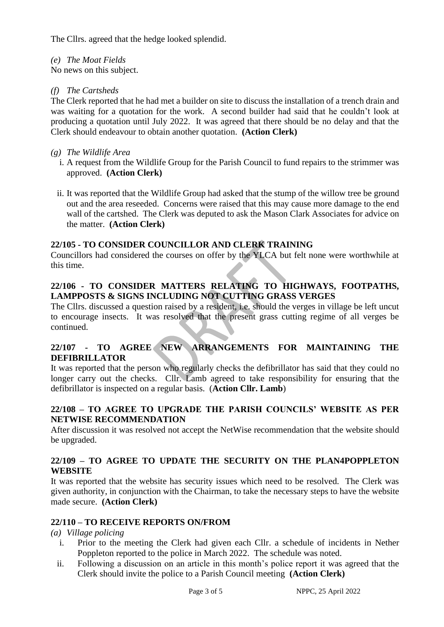The Cllrs. agreed that the hedge looked splendid.

*(e) The Moat Fields* 

No news on this subject.

# *(f) The Cartsheds*

The Clerk reported that he had met a builder on site to discuss the installation of a trench drain and was waiting for a quotation for the work. A second builder had said that he couldn't look at producing a quotation until July 2022. It was agreed that there should be no delay and that the Clerk should endeavour to obtain another quotation. **(Action Clerk)**

# *(g) The Wildlife Area*

- i. A request from the Wildlife Group for the Parish Council to fund repairs to the strimmer was approved. **(Action Clerk)**
- ii. It was reported that the Wildlife Group had asked that the stump of the willow tree be ground out and the area reseeded. Concerns were raised that this may cause more damage to the end wall of the cartshed. The Clerk was deputed to ask the Mason Clark Associates for advice on the matter. **(Action Clerk)**

# **22/105 - TO CONSIDER COUNCILLOR AND CLERK TRAINING**

Councillors had considered the courses on offer by the YLCA but felt none were worthwhile at this time.

# **22/106 - TO CONSIDER MATTERS RELATING TO HIGHWAYS, FOOTPATHS, LAMPPOSTS & SIGNS INCLUDING NOT CUTTING GRASS VERGES**

The Cllrs. discussed a question raised by a resident, i.e. should the verges in village be left uncut to encourage insects. It was resolved that the present grass cutting regime of all verges be continued.

# **22/107 - TO AGREE NEW ARRANGEMENTS FOR MAINTAINING THE DEFIBRILLATOR**

It was reported that the person who regularly checks the defibrillator has said that they could no longer carry out the checks. Cllr. Lamb agreed to take responsibility for ensuring that the defibrillator is inspected on a regular basis. (**Action Cllr. Lamb**)

# **22/108 – TO AGREE TO UPGRADE THE PARISH COUNCILS' WEBSITE AS PER NETWISE RECOMMENDATION**

After discussion it was resolved not accept the NetWise recommendation that the website should be upgraded.

### **22/109 – TO AGREE TO UPDATE THE SECURITY ON THE PLAN4POPPLETON WEBSITE**

It was reported that the website has security issues which need to be resolved. The Clerk was given authority, in conjunction with the Chairman, to take the necessary steps to have the website made secure. **(Action Clerk)**

### **22/110 – TO RECEIVE REPORTS ON/FROM**

*(a) Village policing*

- i. Prior to the meeting the Clerk had given each Cllr. a schedule of incidents in Nether Poppleton reported to the police in March 2022. The schedule was noted.
- ii. Following a discussion on an article in this month's police report it was agreed that the Clerk should invite the police to a Parish Council meeting **(Action Clerk)**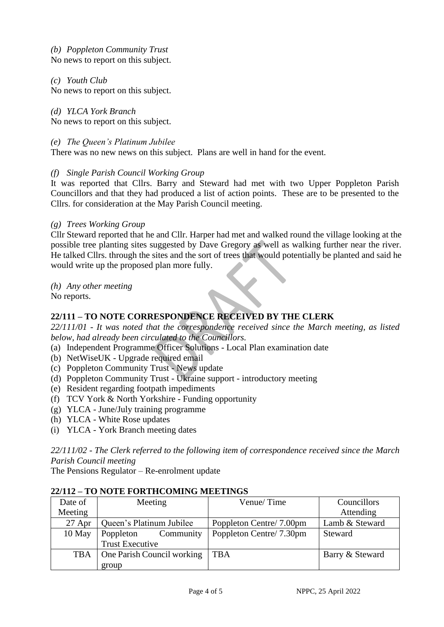*(b) Poppleton Community Trust*

No news to report on this subject.

*(c) Youth Club*

No news to report on this subject.

*(d) YLCA York Branch*

No news to report on this subject.

### *(e) The Queen's Platinum Jubilee*

There was no new news on this subject. Plans are well in hand for the event.

#### *(f) Single Parish Council Working Group*

It was reported that Cllrs. Barry and Steward had met with two Upper Poppleton Parish Councillors and that they had produced a list of action points. These are to be presented to the Cllrs. for consideration at the May Parish Council meeting.

#### *(g) Trees Working Group*

Cllr Steward reported that he and Cllr. Harper had met and walked round the village looking at the possible tree planting sites suggested by Dave Gregory as well as walking further near the river. He talked Cllrs. through the sites and the sort of trees that would potentially be planted and said he would write up the proposed plan more fully.

*(h) Any other meeting*

No reports.

# **22/111 – TO NOTE CORRESPONDENCE RECEIVED BY THE CLERK**

*22/111/01 - It was noted that the correspondence received since the March meeting, as listed below, had already been circulated to the Councillors.*

- (a) Independent Programme Officer Solutions Local Plan examination date
- (b) NetWiseUK Upgrade required email
- (c) Poppleton Community Trust News update
- (d) Poppleton Community Trust Ukraine support introductory meeting
- (e) Resident regarding footpath impediments
- (f) TCV York & North Yorkshire Funding opportunity
- (g) YLCA June/July training programme
- (h) YLCA White Rose updates
- (i) YLCA York Branch meeting dates

*22/111/02 - The Clerk referred to the following item of correspondence received since the March Parish Council meeting*

The Pensions Regulator – Re-enrolment update

| Date of    | Meeting                    | Venue/Time              | Councillors     |
|------------|----------------------------|-------------------------|-----------------|
| Meeting    |                            |                         | Attending       |
| $27$ Apr   | Queen's Platinum Jubilee   | Poppleton Centre/7.00pm | Lamb & Steward  |
| 10 May     | Community<br>Poppleton     | Poppleton Centre/7.30pm | Steward         |
|            | <b>Trust Executive</b>     |                         |                 |
| <b>TBA</b> | One Parish Council working | TBA                     | Barry & Steward |
|            | group                      |                         |                 |

#### **22/112 – TO NOTE FORTHCOMING MEETINGS**